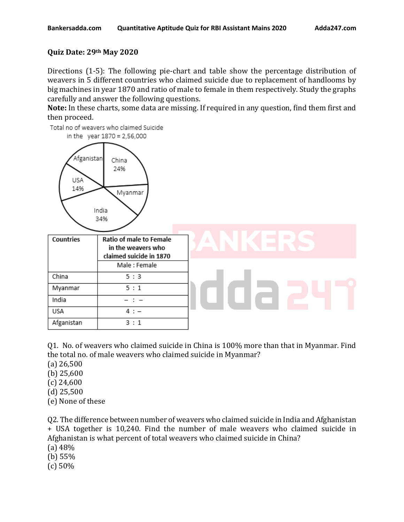## **Quiz Date: 29th May 2020**

Directions (1-5): The following pie-chart and table show the percentage distribution of weavers in 5 different countries who claimed suicide due to replacement of handlooms by big machines in year 1870 and ratio of male to female in them respectively. Study the graphs carefully and answer the following questions.

**Note:** In these charts, some data are missing. If required in any question, find them first and then proceed.

Total no of weavers who claimed Suicide



Q1. No. of weavers who claimed suicide in China is 100% more than that in Myanmar. Find the total no. of male weavers who claimed suicide in Myanmar?

- (a) 26,500
- (b) 25,600
- (c) 24,600
- (d) 25,500
- (e) None of these

Q2. The difference between number of weavers who claimed suicide in India and Afghanistan + USA together is 10,240. Find the number of male weavers who claimed suicide in Afghanistan is what percent of total weavers who claimed suicide in China?

(a) 48%

- (b) 55%
- (c) 50%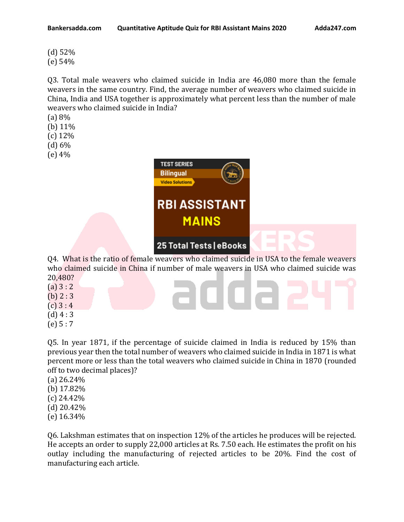(d) 52% (e) 54%

Q3. Total male weavers who claimed suicide in India are 46,080 more than the female weavers in the same country. Find, the average number of weavers who claimed suicide in China, India and USA together is approximately what percent less than the number of male weavers who claimed suicide in India?

- (a) 8%
- (b) 11\%
- (c) 12%
- (d) 6%
- (e) 4%



Q4. What is the ratio of female weavers who claimed suicide in USA to the female weavers who claimed suicide in China if number of male weavers in USA who claimed suicide was 20,480?

 $\Box$ 

- $(a) 3 : 2$ (b)  $2:3$
- $(c) 3 : 4$
- $(d)$  4 : 3
- $(e) 5 : 7$

Q5. In year 1871, if the percentage of suicide claimed in India is reduced by 15% than previous year then the total number of weavers who claimed suicide in India in 1871 is what percent more or less than the total weavers who claimed suicide in China in 1870 (rounded off to two decimal places)?

- (a) 26.24%
- (b) 17.82%
- (c) 24.42%
- (d) 20.42%
- (e) 16.34%

Q6. Lakshman estimates that on inspection 12% of the articles he produces will be rejected. He accepts an order to supply 22,000 articles at Rs. 7.50 each. He estimates the profit on his outlay including the manufacturing of rejected articles to be 20%. Find the cost of manufacturing each article.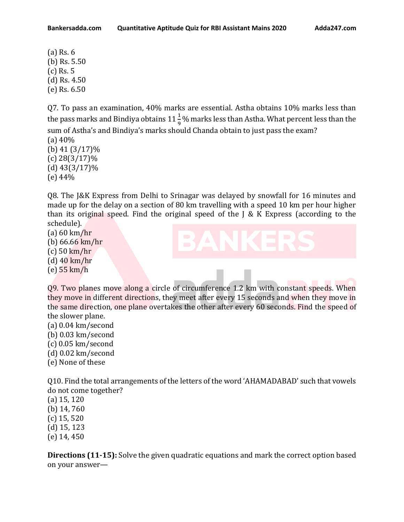(a) Rs. 6 (b) Rs. 5.50 (c) Rs. 5 (d) Rs. 4.50 (e) Rs. 6.50

Q7. To pass an examination, 40% marks are essential. Astha obtains 10% marks less than the pass marks and Bindiya obtains  $11\frac{1}{9}$ % marks less than Astha. What percent less than the sum of Astha's and Bindiya's marks should Chanda obtain to just pass the exam?

(a) 40% (b) 41 (3/17)% (c) 28(3/17)% (d) 43(3/17)% (e) 44%

Q8. The J&K Express from Delhi to Srinagar was delayed by snowfall for 16 minutes and made up for the delay on a section of 80 km travelling with a speed 10 km per hour higher than its original speed. Find the original speed of the  $J \& K$  Express (according to the schedule).

- (a) 60 km/hr (b) 66.66 km/hr (c) 50 km/hr (d) 40 km/hr
- (e) 55 km/h



Q9. Two planes move along a circle of circumference 1.2 km with constant speeds. When they move in different directions, they meet after every 15 seconds and when they move in the same direction, one plane overtakes the other after every 60 seconds. Find the speed of the slower plane.

(a) 0.04 km/second (b) 0.03 km/second (c) 0.05 km/second (d) 0.02 km/second (e) None of these

Q10. Find the total arrangements of the letters of the word 'AHAMADABAD' such that vowels do not come together?

(a) 15, 120 (b) 14, 760 (c) 15, 520 (d) 15, 123 (e) 14, 450

**Directions (11-15):** Solve the given quadratic equations and mark the correct option based on your answer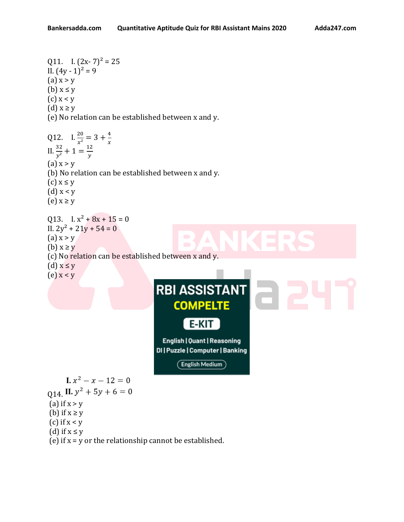Q11. I.  $(2x-7)^2 = 25$ 

II.  $(4y - 1)^2 = 9$  $(a) x > y$ (b)  $x \leq y$  $(c)$  x < y (d)  $x \geq y$ (e) No relation can be established between x and y. Q12. I.  $\frac{20}{x^2} = 3 + \frac{4}{x}$  $\boldsymbol{\chi}$ II.  $rac{32}{y^2} + 1 = \frac{12}{y}$  $\mathcal{Y}$  $(a)$  x > y (b) No relation can be established between x and y.  $(c)$   $x \leq y$ (d)  $x < y$  $(e)$   $x \ge y$ Q13. I.  $x^2 + 8x + 15 = 0$ II.  $2y^2 + 21y + 54 = 0$  $(a)$  x > y (b)  $x \ge y$ (c) No relation can be established between x and y. (d)  $x \leq y$ (e)  $x < y$ **RBI ASSISTANT COMPELTE** E-KIT English | Quant | Reasoning DI | Puzzle | Computer | Banking **English Medium I.**  $x^2 - x - 12 = 0$ Q14. II.  $y^2 + 5y + 6 = 0$ (a) if  $x > y$ (b) if  $x \ge y$ (c) if  $x < y$ (d) if  $x \leq y$ (e) if  $x = y$  or the relationship cannot be established.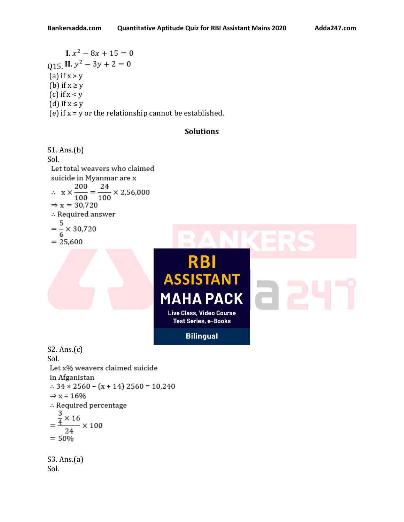**I.**  $x^2 - 8x + 15 = 0$  $015$ , II.  $y^2 - 3y + 2 = 0$ (a) if  $x > y$ (b) if  $x \ge y$ (c) if  $x < y$ (d) if  $x \leq y$ (e) if  $x = y$  or the relationship cannot be established.

## **Solutions**

```
S1. Ans.(b)
Sol.
 Let total weavers who claimed
 suicide in Myanmar are x
\therefore x \times \frac{200}{100} = \frac{24}{100} \times 2,56,000\Rightarrow x = 30,720
 : Required answer
 =\frac{5}{6} \times 30,720= 25,600
```


S2. Ans.(c) Sol. Let x% weavers claimed suicide in Afganistan  $\therefore$  34 × 2560 – (x + 14) 2560 = 10,240  $\Rightarrow$  x = 16% :. Required percentage  $=\frac{\frac{3}{4} \times 16}{24} \times 100$  $24$  $= 50%$ S3. Ans.(a)

Sol.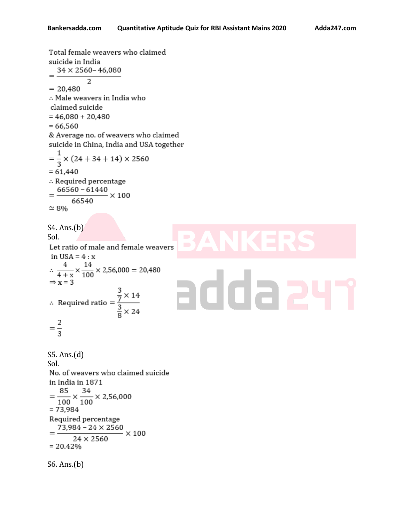Total female weavers who claimed suicide in India  $34 \times 2560 - 46,080$  $\overline{a}$  $= 20.480$ .. Male weavers in India who claimed suicide  $= 46,080 + 20,480$  $= 66,560$ & Average no. of weavers who claimed suicide in China, India and USA together  $=\frac{1}{3} \times (24 + 34 + 14) \times 2560$  $= 61,440$ : Required percentage Required percentage<br> $\frac{66560 - 61440}{66540}$  × 100 66540  $\simeq 8\%$ S4. Ans.(b) Sol. Let ratio of male and female weavers in USA =  $4: x$  $\therefore \frac{4}{4+x} \times \frac{14}{100} \times 2,56,000 = 20,480$ adda 2  $\Rightarrow$  x = 3 ⇒ x = 3<br>
∴ Required ratio =  $\frac{\frac{3}{7} \times 14}{\frac{3}{8} \times 24}$  $=\frac{2}{3}$ S5. Ans.(d) Sol. No. of weavers who claimed suicide in India in 1871  $=\frac{85}{100}\times\frac{34}{100}\times 2,56,000$  $= 73,984$ Required percentage  $\frac{73,984 - 24 \times 2560}{24 \times 2560} \times 100$  $= 20.42%$ S6. Ans.(b)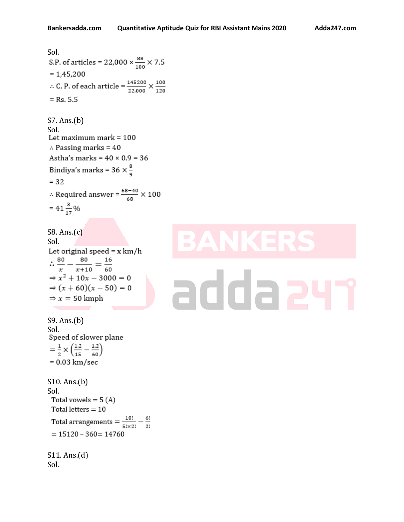Sol.<br>S.P. of articles = 22,000  $\times \frac{88}{100} \times 7.5$  $= 1,45,200$ ∴ C. P. of each article =  $\frac{145200}{22,000}$  ×  $\frac{100}{120}$  $=$  Rs. 5.5 S7. Ans.(b) Sol. Let maximum mark = 100  $\therefore$  Passing marks = 40 Astha's marks =  $40 \times 0.9 = 36$ Bindiya's marks = 36  $\times\frac{8}{9}$  $= 32$  $\therefore$  Required answer =  $\frac{68-40}{68} \times 100$  $= 41\frac{3}{17}\%$ S8. Ans.(c) Sol. Let original speed =  $x \, km/h$  $\therefore \frac{80}{x} - \frac{80}{x+10} = \frac{16}{60}$  $\Rightarrow$   $x^2 + 10x - 3000 = 0$ addaa  $\Rightarrow$   $(x + 60)(x - 50) = 0$  $\Rightarrow$  x = 50 kmph S9. Ans.(b) Sol.<br>Speed of slower plane  $=\frac{1}{2}\times\left(\frac{1.2}{15}-\frac{1.2}{60}\right)$  $= 0.03$  km/sec S10. Ans.(b) Sol. Total vowels =  $5(A)$ Total letters  $= 10$ Total arrangements =  $\frac{10!}{5! \times 2!} - \frac{6!}{2!}$  $= 15120 - 360 = 14760$ S11. Ans.(d) Sol.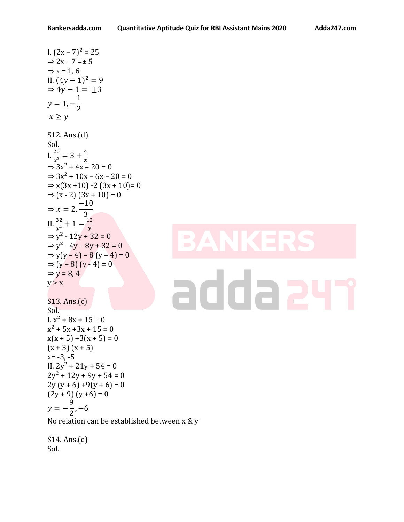I.  $(2x - 7)^2 = 25$  $\Rightarrow$  2x – 7 = ± 5  $\Rightarrow$  x = 1, 6 II.  $(4y - 1)^2 = 9$  $\Rightarrow$  4y - 1 =  $\pm$ 3  $y = 1, -$ 1 2  $x \geq y$ S12. Ans.(d) Sol. I.  $\frac{20}{x^2} = 3 + \frac{4}{x}$  $\boldsymbol{\chi}$  $\Rightarrow$  3x<sup>2</sup> + 4x − 20 = 0  $\Rightarrow 3x^2 + 10x - 6x - 20 = 0$  $\Rightarrow$  x(3x + 10) -2 (3x + 10) = 0  $\Rightarrow$  (x - 2) (3x + 10) = 0  $\Rightarrow$   $x = 2$ , −10 3 II.  $rac{32}{y^2} + 1 = \frac{12}{y}$  $\mathcal{Y}$  $\Rightarrow$  y<sup>2</sup> - 12y + 32 = 0  $\Rightarrow$  y<sup>2</sup> - 4y - 8y + 32 = 0  $\Rightarrow$  y(y – 4) – 8 (y – 4) = 0 ⇒  $(y - 8) (y - 4) = 0$  $\Rightarrow$  y = 8, 4  $y > x$ S13. Ans.(c) Sol. I.  $x^2 + 8x + 15 = 0$  $x^2$  + 5x + 3x + 15 = 0  $x(x + 5) + 3(x + 5) = 0$  $(x + 3)(x + 5)$  $x = -3, -5$ II.  $2y^2 + 21y + 54 = 0$  $2y^2 + 12y + 9y + 54 = 0$  $2y (y + 6) +9(y + 6) = 0$  $(2y + 9) (y + 6) = 0$  $y = -$ 9 2 , −6 No relation can be established between x & y

S14. Ans.(e) Sol.

## addaa